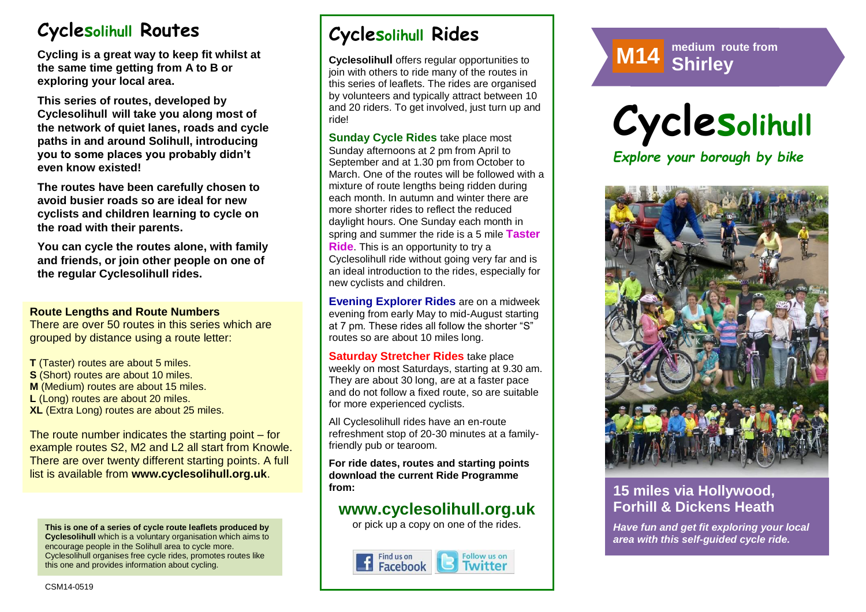# **Cyclesolihull Routes**

**Cycling is a great way to keep fit whilst at the same time getting from A to B or exploring your local area.** 

**This series of routes, developed by Cyclesolihull will take you along most of the network of quiet lanes, roads and cycle paths in and around Solihull, introducing you to some places you probably didn't even know existed!**

**The routes have been carefully chosen to avoid busier roads so are ideal for new cyclists and children learning to cycle on the road with their parents.** 

**You can cycle the routes alone, with family and friends, or join other people on one of the regular Cyclesolihull rides.**

#### **Route Lengths and Route Numbers**

There are over 50 routes in this series which are grouped by distance using a route letter:

**T** (Taster) routes are about 5 miles. **S** (Short) routes are about 10 miles. **M** (Medium) routes are about 15 miles. **L** (Long) routes are about 20 miles. **XL** (Extra Long) routes are about 25 miles.

The route number indicates the starting point – for example routes S2, M2 and L2 all start from Knowle. There are over twenty different starting points. A full list is available from **www.cyclesolihull.org.uk**.

**This is one of a series of cycle route leaflets produced by Cyclesolihull** which is a voluntary organisation which aims to encourage people in the Solihull area to cycle more. Cyclesolihull organises free cycle rides, promotes routes like this one and provides information about cycling.

# **Cyclesolihull Rides**

**Cyclesolihull** offers regular opportunities to join with others to ride many of the routes in this series of leaflets. The rides are organised by volunteers and typically attract between 10 and 20 riders. To get involved, just turn up and ride!

**Sunday Cycle Rides** take place most Sunday afternoons at 2 pm from April to September and at 1.30 pm from October to March. One of the routes will be followed with a mixture of route lengths being ridden during each month. In autumn and winter there are more shorter rides to reflect the reduced daylight hours. One Sunday each month in spring and summer the ride is a 5 mile **Taster Ride**. This is an opportunity to try a Cyclesolihull ride without going very far and is an ideal introduction to the rides, especially for new cyclists and children.

**Evening Explorer Rides** are on a midweek evening from early May to mid-August starting at 7 pm. These rides all follow the shorter "S" routes so are about 10 miles long.

**Saturday Stretcher Rides** take place weekly on most Saturdays, starting at 9.30 am. They are about 30 long, are at a faster pace and do not follow a fixed route, so are suitable for more experienced cyclists.

All Cyclesolihull rides have an en-route refreshment stop of 20-30 minutes at a familyfriendly pub or tearoom.

**For ride dates, routes and starting points download the current Ride Programme from:** 

## **www.cyclesolihull.org.uk**

or pick up a copy on one of the rides.









### **15 miles via Hollywood, Forhill & Dickens Heath**

*Have fun and get fit exploring your local area with this self-guided cycle ride.*